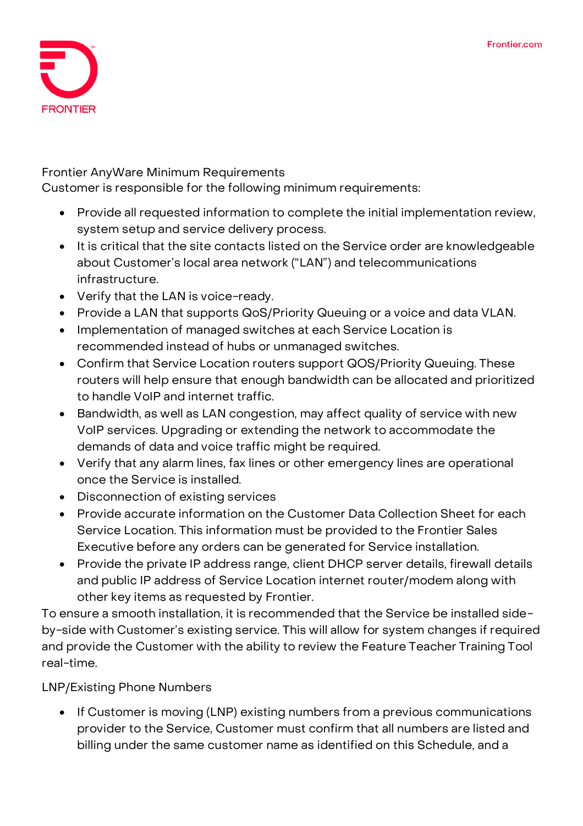

## **Frontier AnyWare Minimum Requirements**

Customer is responsible for the following minimum requirements:

- Provide all requested information to complete the initial implementation review, system setup and service delivery process.
- It is critical that the site contacts listed on the Service order are knowledgeable about Customer's local area network ("LAN") and telecommunications infrastructure.
- Verify that the LAN is voice-ready.
- Provide a LAN that supports QoS/Priority Queuing or a voice and data VLAN.
- Implementation of managed switches at each Service Location is recommended instead of hubs or unmanaged switches.
- Confirm that Service Location routers support QOS/Priority Queuing. These routers will help ensure that enough bandwidth can be allocated and prioritized to handle VoIP and internet traffic.
- Bandwidth, as well as LAN congestion, may affect quality of service with new VoIP services. Upgrading or extending the network to accommodate the demands of data and voice traffic might be required.
- Verify that any alarm lines, fax lines or other emergency lines are operational once the Service is installed.
- Disconnection of existing services
- Provide accurate information on the Customer Data Collection Sheet for each Service Location. This information must be provided to the Frontier Sales Executive before any orders can be generated for Service installation.
- Provide the private IP address range, client DHCP server details, firewall details and public IP address of Service Location internet router/modem along with other key items as requested by Frontier.

To ensure a smooth installation, it is recommended that the Service be installed sideby-side with Customer's existing service. This will allow for system changes if required and provide the Customer with the ability to review the Feature Teacher Training Tool real-time.

**LNP/Existing Phone Numbers**

• If Customer is moving (LNP) existing numbers from a previous communications provider to the Service, Customer must confirm that all numbers are listed and billing under the same customer name as identified on this Schedule, and a